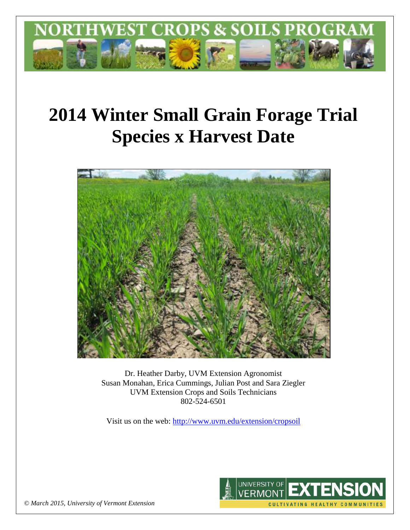

# **2014 Winter Small Grain Forage Trial Species x Harvest Date**



Dr. Heather Darby, UVM Extension Agronomist Susan Monahan, Erica Cummings, Julian Post and Sara Ziegler UVM Extension Crops and Soils Technicians 802-524-6501

Visit us on the web: <http://www.uvm.edu/extension/cropsoil>



*© March 2015, University of Vermont Extension*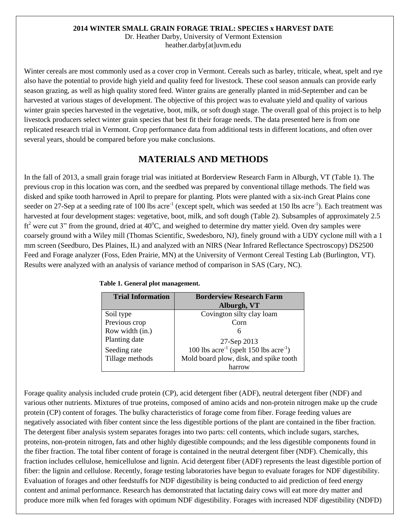#### **2014 WINTER SMALL GRAIN FORAGE TRIAL: SPECIES x HARVEST DATE**

Dr. Heather Darby, University of Vermont Extension heather.darby[at]uvm.edu

Winter cereals are most commonly used as a cover crop in Vermont. Cereals such as barley, triticale, wheat, spelt and rye also have the potential to provide high yield and quality feed for livestock. These cool season annuals can provide early season grazing, as well as high quality stored feed. Winter grains are generally planted in mid-September and can be harvested at various stages of development. The objective of this project was to evaluate yield and quality of various winter grain species harvested in the vegetative, boot, milk, or soft dough stage. The overall goal of this project is to help livestock producers select winter grain species that best fit their forage needs. The data presented here is from one replicated research trial in Vermont. Crop performance data from additional tests in different locations, and often over several years, should be compared before you make conclusions.

## **MATERIALS AND METHODS**

In the fall of 2013, a small grain forage trial was initiated at Borderview Research Farm in Alburgh, VT (Table 1). The previous crop in this location was corn, and the seedbed was prepared by conventional tillage methods. The field was disked and spike tooth harrowed in April to prepare for planting. Plots were planted with a six-inch Great Plains cone seeder on 27-Sep at a seeding rate of 100 lbs acre<sup>-1</sup> (except spelt, which was seeded at 150 lbs acre<sup>-1</sup>). Each treatment was harvested at four development stages: vegetative, boot, milk, and soft dough (Table 2). Subsamples of approximately 2.5  $ft<sup>2</sup>$  were cut 3" from the ground, dried at 40°C, and weighed to determine dry matter yield. Oven dry samples were coarsely ground with a Wiley mill (Thomas Scientific, Swedesboro, NJ), finely ground with a UDY cyclone mill with a 1 mm screen (Seedburo, Des Plaines, IL) and analyzed with an NIRS (Near Infrared Reflectance Spectroscopy) DS2500 Feed and Forage analyzer (Foss, Eden Prairie, MN) at the University of Vermont Cereal Testing Lab (Burlington, VT). Results were analyzed with an analysis of variance method of comparison in SAS (Cary, NC).

| <b>Trial Information</b> | <b>Borderview Research Farm</b><br>Alburgh, VT                 |
|--------------------------|----------------------------------------------------------------|
|                          |                                                                |
| Soil type                | Covington silty clay loam                                      |
| Previous crop            | Corn                                                           |
| Row width (in.)          |                                                                |
| Planting date            | 27-Sep 2013                                                    |
| Seeding rate             | 100 lbs $\text{acre}^{-1}$ (spelt 150 lbs $\text{acre}^{-1}$ ) |
| Tillage methods          | Mold board plow, disk, and spike tooth                         |
|                          | harrow                                                         |

#### **Table 1. General plot management.**

Forage quality analysis included crude protein (CP), acid detergent fiber (ADF), neutral detergent fiber (NDF) and various other nutrients. Mixtures of true proteins, composed of amino acids and non-protein nitrogen make up the crude protein (CP) content of forages. The bulky characteristics of forage come from fiber. Forage feeding values are negatively associated with fiber content since the less digestible portions of the plant are contained in the fiber fraction. The detergent fiber analysis system separates forages into two parts: cell contents, which include sugars, starches, proteins, non-protein nitrogen, fats and other highly digestible compounds; and the less digestible components found in the fiber fraction. The total fiber content of forage is contained in the neutral detergent fiber (NDF). Chemically, this fraction includes cellulose, hemicellulose and lignin. Acid detergent fiber (ADF) represents the least digestible portion of fiber: the lignin and cellulose. Recently, forage testing laboratories have begun to evaluate forages for NDF digestibility. Evaluation of forages and other feedstuffs for NDF digestibility is being conducted to aid prediction of feed energy content and animal performance. Research has demonstrated that lactating dairy cows will eat more dry matter and produce more milk when fed forages with optimum NDF digestibility. Forages with increased NDF digestibility (NDFD)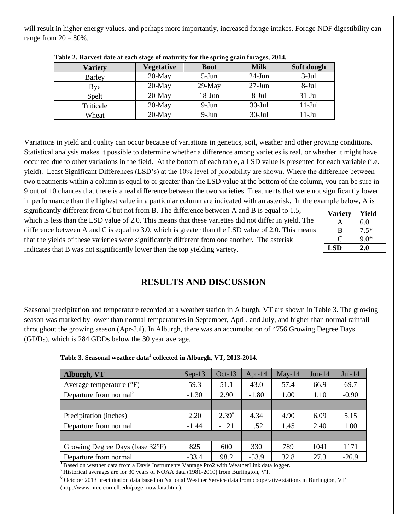will result in higher energy values, and perhaps more importantly, increased forage intakes. Forage NDF digestibility can range from  $20 - 80\%$ .

| <b>Variety</b> | <b>Vegetative</b> | <b>Boot</b> | <b>Milk</b> | Soft dough |
|----------------|-------------------|-------------|-------------|------------|
| <b>Barley</b>  | $20$ -May         | $5-Jun$     | $24$ -Jun   | $3-Jul$    |
| Rye            | $20$ -May         | $29$ -May   | $27$ -Jun   | 8-Jul      |
| Spelt          | $20$ -May         | $18$ -Jun   | $8-Jul$     | $31-Jul$   |
| Triticale      | $20$ -May         | 9-Jun       | $30-Jul$    | $11-Jul$   |
| Wheat          | $20$ -May         | 9-Jun       | $30-Jul$    | $11-Jul$   |

|  |  | Table 2. Harvest date at each stage of maturity for the spring grain forages, 2014. |  |  |  |
|--|--|-------------------------------------------------------------------------------------|--|--|--|
|  |  |                                                                                     |  |  |  |

Variations in yield and quality can occur because of variations in genetics, soil, weather and other growing conditions. Statistical analysis makes it possible to determine whether a difference among varieties is real, or whether it might have occurred due to other variations in the field. At the bottom of each table, a LSD value is presented for each variable (i.e. yield). Least Significant Differences (LSD's) at the 10% level of probability are shown. Where the difference between two treatments within a column is equal to or greater than the LSD value at the bottom of the column, you can be sure in 9 out of 10 chances that there is a real difference between the two varieties. Treatments that were not significantly lower in performance than the highest value in a particular column are indicated with an asterisk. In the example below, A is

significantly different from C but not from B. The difference between A and B is equal to 1.5, which is less than the LSD value of 2.0. This means that these varieties did not differ in yield. The difference between A and C is equal to 3.0, which is greater than the LSD value of 2.0. This means that the yields of these varieties were significantly different from one another. The asterisk indicates that B was not significantly lower than the top yielding variety.

| <b>Variety</b> | Yield  |
|----------------|--------|
| A              | 6.0    |
| B              | $7.5*$ |
| O              | $9.0*$ |
| LSD            | 2.0    |

### **RESULTS AND DISCUSSION**

Seasonal precipitation and temperature recorded at a weather station in Alburgh, VT are shown in Table 3. The growing season was marked by lower than normal temperatures in September, April, and July, and higher than normal rainfall throughout the growing season (Apr-Jul). In Alburgh, there was an accumulation of 4756 Growing Degree Days (GDDs), which is 284 GDDs below the 30 year average.

| Alburgh, VT                        | $Sep-13$ | $Oct-13$     | Apr-14  | $May-14$ | $Jun-14$ | $Jul-14$ |
|------------------------------------|----------|--------------|---------|----------|----------|----------|
| Average temperature $(^{\circ}F)$  | 59.3     | 51.1         | 43.0    | 57.4     | 66.9     | 69.7     |
| Departure from normal <sup>2</sup> | $-1.30$  | 2.90         | $-1.80$ | 1.00     | 1.10     | $-0.90$  |
|                                    |          |              |         |          |          |          |
| Precipitation (inches)             | 2.20     | $2.39^\circ$ | 4.34    | 4.90     | 6.09     | 5.15     |
| Departure from normal              | $-1.44$  | $-1.21$      | 1.52    | 1.45     | 2.40     | 1.00     |
|                                    |          |              |         |          |          |          |
| Growing Degree Days (base 32°F)    | 825      | 600          | 330     | 789      | 1041     | 1171     |
| Departure from normal              | $-33.4$  | 98.2         | $-53.9$ | 32.8     | 27.3     | $-26.9$  |

**Table 3. Seasonal weather data<sup>1</sup> collected in Alburgh, VT, 2013-2014.**

<sup>1</sup> Based on weather data from a Davis Instruments Vantage Pro2 with WeatherLink data logger.

 $^2$  Historical averages are for 30 years of NOAA data (1981-2010) from Burlington, VT.

 $\degree$  October 2013 precipitation data based on National Weather Service data from cooperative stations in Burlington, VT (http://www.nrcc.cornell.edu/page\_nowdata.html).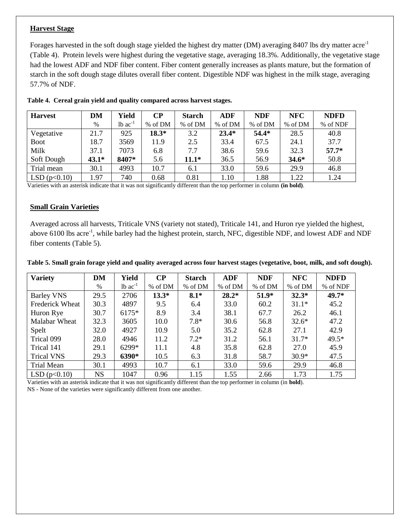#### **Harvest Stage**

Forages harvested in the soft dough stage yielded the highest dry matter (DM) averaging 8407 lbs dry matter acre<sup>-1</sup> (Table 4). Protein levels were highest during the vegetative stage, averaging 18.3%. Additionally, the vegetative stage had the lowest ADF and NDF fiber content. Fiber content generally increases as plants mature, but the formation of starch in the soft dough stage dilutes overall fiber content. Digestible NDF was highest in the milk stage, averaging 57.7% of NDF.

| <b>Harvest</b> | DM      | Yield                 | $\bf CP$ | <b>Starch</b> | <b>ADF</b> | <b>NDF</b> | <b>NFC</b> | <b>NDFD</b> |
|----------------|---------|-----------------------|----------|---------------|------------|------------|------------|-------------|
|                | $\%$    | $1b$ ac <sup>-1</sup> | % of DM  | % of DM       | % of DM    | % of DM    | % of DM    | % of NDF    |
| Vegetative     | 21.7    | 925                   | $18.3*$  | 3.2           | $23.4*$    | $54.4*$    | 28.5       | 40.8        |
| <b>Boot</b>    | 18.7    | 3569                  | 11.9     | 2.5           | 33.4       | 67.5       | 24.1       | 37.7        |
| Milk           | 37.1    | 7073                  | 6.8      | 7.7           | 38.6       | 59.6       | 32.3       | $57.7*$     |
| Soft Dough     | $43.1*$ | 8407*                 | 5.6      | $11.1*$       | 36.5       | 56.9       | $34.6*$    | 50.8        |
| Trial mean     | 30.1    | 4993                  | 10.7     | 6.1           | 33.0       | 59.6       | 29.9       | 46.8        |
| LSD(p<0.10)    | l.97    | 740                   | 0.68     | 0.81          | 1.10       | .88        | 1.22       | 1.24        |

**Table 4. Cereal grain yield and quality compared across harvest stages.**

Varieties with an asterisk indicate that it was not significantly different than the top performer in column **(in bold)**.

#### **Small Grain Varieties**

Averaged across all harvests, Triticale VNS (variety not stated), Triticale 141, and Huron rye yielded the highest, above 6100 lbs acre<sup>-1</sup>, while barley had the highest protein, starch, NFC, digestible NDF, and lowest ADF and NDF fiber contents (Table 5).

|  |  |  | Table 5. Small grain forage yield and quality averaged across four harvest stages (vegetative, boot, milk, and soft dough). |  |  |
|--|--|--|-----------------------------------------------------------------------------------------------------------------------------|--|--|
|  |  |  |                                                                                                                             |  |  |
|  |  |  |                                                                                                                             |  |  |

| <b>Variety</b>         | DM        | Yield                 | $\bf CP$ | <b>Starch</b> | <b>ADF</b> | <b>NDF</b> | <b>NFC</b> | <b>NDFD</b> |
|------------------------|-----------|-----------------------|----------|---------------|------------|------------|------------|-------------|
|                        | $\%$      | $1b$ ac <sup>-1</sup> | % of DM  | % of DM       | % of DM    | % of DM    | % of DM    | % of NDF    |
| <b>Barley VNS</b>      | 29.5      | 2706                  | $13.3*$  | $8.1*$        | $28.2*$    | $51.9*$    | $32.3*$    | 49.7*       |
| <b>Frederick Wheat</b> | 30.3      | 4897                  | 9.5      | 6.4           | 33.0       | 60.2       | $31.1*$    | 45.2        |
| Huron Rye              | 30.7      | $6175*$               | 8.9      | 3.4           | 38.1       | 67.7       | 26.2       | 46.1        |
| Malabar Wheat          | 32.3      | 3605                  | 10.0     | $7.8*$        | 30.6       | 56.8       | $32.6*$    | 47.2        |
| Spelt                  | 32.0      | 4927                  | 10.9     | 5.0           | 35.2       | 62.8       | 27.1       | 42.9        |
| Trical 099             | 28.0      | 4946                  | 11.2     | $7.2*$        | 31.2       | 56.1       | $31.7*$    | $49.5*$     |
| Trical 141             | 29.1      | 6299*                 | 11.1     | 4.8           | 35.8       | 62.8       | 27.0       | 45.9        |
| <b>Trical VNS</b>      | 29.3      | 6390*                 | 10.5     | 6.3           | 31.8       | 58.7       | $30.9*$    | 47.5        |
| Trial Mean             | 30.1      | 4993                  | 10.7     | 6.1           | 33.0       | 59.6       | 29.9       | 46.8        |
| LSD(p<0.10)            | <b>NS</b> | 1047                  | 0.96     | 1.15          | 1.55       | 2.66       | 1.73       | 1.75        |

Varieties with an asterisk indicate that it was not significantly different than the top performer in column (in **bold**). NS - None of the varieties were significantly different from one another.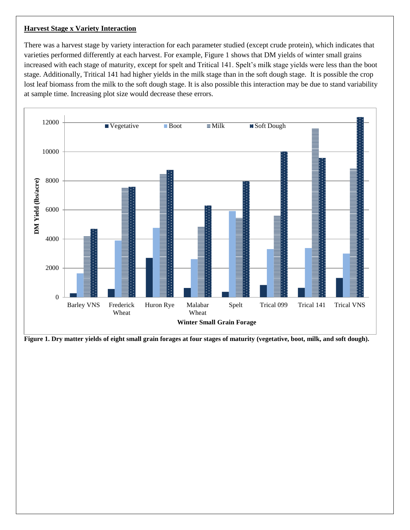#### **Harvest Stage x Variety Interaction**

There was a harvest stage by variety interaction for each parameter studied (except crude protein), which indicates that varieties performed differently at each harvest. For example, Figure 1 shows that DM yields of winter small grains increased with each stage of maturity, except for spelt and Tritical 141. Spelt's milk stage yields were less than the boot stage. Additionally, Tritical 141 had higher yields in the milk stage than in the soft dough stage. It is possible the crop lost leaf biomass from the milk to the soft dough stage. It is also possible this interaction may be due to stand variability at sample time. Increasing plot size would decrease these errors.



**Figure 1. Dry matter yields of eight small grain forages at four stages of maturity (vegetative, boot, milk, and soft dough).**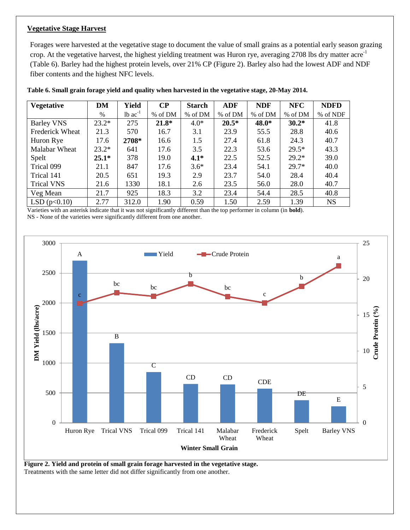#### **Vegetative Stage Harvest**

Forages were harvested at the vegetative stage to document the value of small grains as a potential early season grazing crop. At the vegetative harvest, the highest yielding treatment was Huron rye, averaging 2708 lbs dry matter acre<sup>-1</sup> (Table 6). Barley had the highest protein levels, over 21% CP (Figure 2). Barley also had the lowest ADF and NDF fiber contents and the highest NFC levels.

| Vegetative             | DM      | Yield                 | $\bf CP$ | <b>Starch</b> | <b>ADF</b> | <b>NDF</b> | <b>NFC</b> | <b>NDFD</b> |
|------------------------|---------|-----------------------|----------|---------------|------------|------------|------------|-------------|
|                        | $\%$    | $1b$ ac <sup>-1</sup> | % of DM  | % of DM       | % of DM    | % of DM    | % of DM    | % of NDF    |
| <b>Barley VNS</b>      | $23.2*$ | 275                   | $21.8*$  | $4.0*$        | $20.5*$    | 48.0*      | $30.2*$    | 41.8        |
| <b>Frederick Wheat</b> | 21.3    | 570                   | 16.7     | 3.1           | 23.9       | 55.5       | 28.8       | 40.6        |
| Huron Rye              | 17.6    | 2708*                 | 16.6     | 1.5           | 27.4       | 61.8       | 24.3       | 40.7        |
| Malabar Wheat          | $23.2*$ | 641                   | 17.6     | 3.5           | 22.3       | 53.6       | $29.5*$    | 43.3        |
| Spelt                  | $25.1*$ | 378                   | 19.0     | $4.1*$        | 22.5       | 52.5       | $29.2*$    | 39.0        |
| Trical 099             | 21.1    | 847                   | 17.6     | $3.6*$        | 23.4       | 54.1       | $29.7*$    | 40.0        |
| Trical 141             | 20.5    | 651                   | 19.3     | 2.9           | 23.7       | 54.0       | 28.4       | 40.4        |
| <b>Trical VNS</b>      | 21.6    | 1330                  | 18.1     | 2.6           | 23.5       | 56.0       | 28.0       | 40.7        |
| Veg Mean               | 21.7    | 925                   | 18.3     | 3.2           | 23.4       | 54.4       | 28.5       | 40.8        |
| LSD(p<0.10)            | 2.77    | 312.0                 | 1.90     | 0.59          | 1.50       | 2.59       | 1.39       | <b>NS</b>   |

|  |  |  |  | Table 6. Small grain forage yield and quality when harvested in the vegetative stage, 20-May 2014. |  |  |
|--|--|--|--|----------------------------------------------------------------------------------------------------|--|--|

Varieties with an asterisk indicate that it was not significantly different than the top performer in column (in **bold**). NS - None of the varieties were significantly different from one another.



**Figure 2. Yield and protein of small grain forage harvested in the vegetative stage.**  Treatments with the same letter did not differ significantly from one another.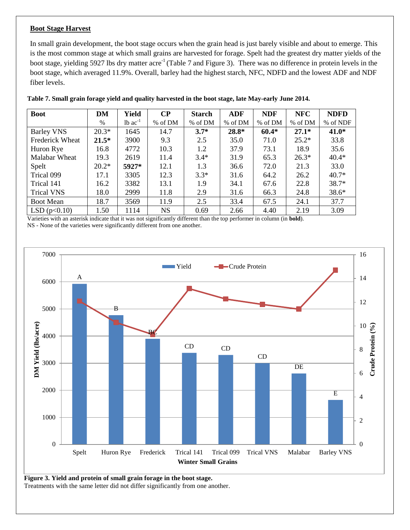#### **Boot Stage Harvest**

In small grain development, the boot stage occurs when the grain head is just barely visible and about to emerge. This is the most common stage at which small grains are harvested for forage. Spelt had the greatest dry matter yields of the boot stage, yielding 5927 lbs dry matter acre<sup>-1</sup> (Table 7 and Figure 3). There was no difference in protein levels in the boot stage, which averaged 11.9%. Overall, barley had the highest starch, NFC, NDFD and the lowest ADF and NDF fiber levels.

| <b>Boot</b>            | DM      | Yield                 | $\bf CP$  | <b>Starch</b> | <b>ADF</b> | <b>NDF</b> | <b>NFC</b> | <b>NDFD</b> |
|------------------------|---------|-----------------------|-----------|---------------|------------|------------|------------|-------------|
|                        | $\%$    | $1b$ ac <sup>-1</sup> | % of DM   | % of DM       | % of DM    | % of DM    | % of DM    | % of NDF    |
| <b>Barley VNS</b>      | $20.3*$ | 1645                  | 14.7      | $3.7*$        | $28.8*$    | $60.4*$    | $27.1*$    | $41.0*$     |
| <b>Frederick Wheat</b> | $21.5*$ | 3900                  | 9.3       | 2.5           | 35.0       | 71.0       | $25.2*$    | 33.8        |
| Huron Rye              | 16.8    | 4772                  | 10.3      | 1.2           | 37.9       | 73.1       | 18.9       | 35.6        |
| <b>Malabar Wheat</b>   | 19.3    | 2619                  | 11.4      | $3.4*$        | 31.9       | 65.3       | $26.3*$    | $40.4*$     |
| Spelt                  | $20.2*$ | 5927*                 | 12.1      | 1.3           | 36.6       | 72.0       | 21.3       | 33.0        |
| Trical 099             | 17.1    | 3305                  | 12.3      | $3.3*$        | 31.6       | 64.2       | 26.2       | $40.7*$     |
| Trical 141             | 16.2    | 3382                  | 13.1      | 1.9           | 34.1       | 67.6       | 22.8       | $38.7*$     |
| <b>Trical VNS</b>      | 18.0    | 2999                  | 11.8      | 2.9           | 31.6       | 66.3       | 24.8       | $38.6*$     |
| <b>Boot Mean</b>       | 18.7    | 3569                  | 11.9      | 2.5           | 33.4       | 67.5       | 24.1       | 37.7        |
| LSD(p<0.10)            | 1.50    | 1114                  | <b>NS</b> | 0.69          | 2.66       | 4.40       | 2.19       | 3.09        |

**Table 7. Small grain forage yield and quality harvested in the boot stage, late May-early June 2014.**

Varieties with an asterisk indicate that it was not significantly different than the top performer in column (in **bold**).

NS - None of the varieties were significantly different from one another.



**Figure 3. Yield and protein of small grain forage in the boot stage.**  Treatments with the same letter did not differ significantly from one another.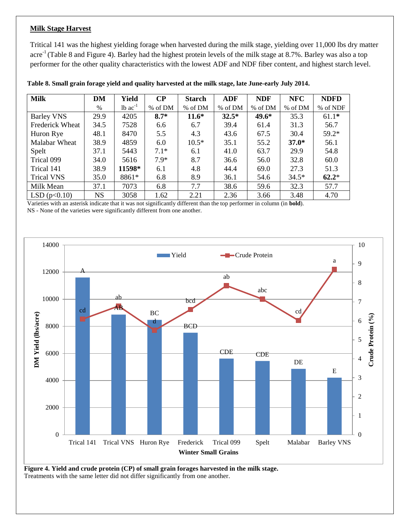#### **Milk Stage Harvest**

Tritical 141 was the highest yielding forage when harvested during the milk stage, yielding over 11,000 lbs dry matter acre<sup>-1</sup> (Table 8 and Figure 4). Barley had the highest protein levels of the milk stage at 8.7%. Barley was also a top performer for the other quality characteristics with the lowest ADF and NDF fiber content, and highest starch level.

| <b>Milk</b>            | DM   | Yield                 | $\bf CP$ | <b>Starch</b> | <b>ADF</b> | <b>NDF</b> | <b>NFC</b> | <b>NDFD</b> |
|------------------------|------|-----------------------|----------|---------------|------------|------------|------------|-------------|
|                        | $\%$ | $1b$ ac <sup>-1</sup> | % of DM  | % of DM       | % of DM    | % of DM    | % of DM    | % of NDF    |
| <b>Barley VNS</b>      | 29.9 | 4205                  | $8.7*$   | $11.6*$       | $32.5*$    | 49.6*      | 35.3       | $61.1*$     |
| <b>Frederick Wheat</b> | 34.5 | 7528                  | 6.6      | 6.7           | 39.4       | 61.4       | 31.3       | 56.7        |
| Huron Rye              | 48.1 | 8470                  | 5.5      | 4.3           | 43.6       | 67.5       | 30.4       | $59.2*$     |
| Malabar Wheat          | 38.9 | 4859                  | 6.0      | $10.5*$       | 35.1       | 55.2       | $37.0*$    | 56.1        |
| Spelt                  | 37.1 | 5443                  | $7.1*$   | 6.1           | 41.0       | 63.7       | 29.9       | 54.8        |
| Trical 099             | 34.0 | 5616                  | $7.9*$   | 8.7           | 36.6       | 56.0       | 32.8       | 60.0        |
| Trical 141             | 38.9 | 11598*                | 6.1      | 4.8           | 44.4       | 69.0       | 27.3       | 51.3        |
| <b>Trical VNS</b>      | 35.0 | 8861*                 | 6.8      | 8.9           | 36.1       | 54.6       | $34.5*$    | $62.2*$     |
| Milk Mean              | 37.1 | 7073                  | 6.8      | 7.7           | 38.6       | 59.6       | 32.3       | 57.7        |
| LSD(p<0.10)            | NS   | 3058                  | 1.62     | 2.21          | 2.36       | 3.66       | 3.48       | 4.70        |

**Table 8. Small grain forage yield and quality harvested at the milk stage, late June-early July 2014.**

Varieties with an asterisk indicate that it was not significantly different than the top performer in column (in **bold**). NS - None of the varieties were significantly different from one another.



**Figure 4. Yield and crude protein (CP) of small grain forages harvested in the milk stage.**  Treatments with the same letter did not differ significantly from one another.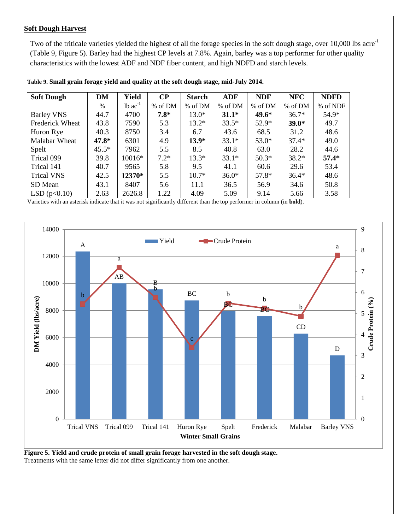#### **Soft Dough Harvest**

Two of the triticale varieties yielded the highest of all the forage species in the soft dough stage, over 10,000 lbs acre<sup>-1</sup> (Table 9, Figure 5). Barley had the highest CP levels at 7.8%. Again, barley was a top performer for other quality characteristics with the lowest ADF and NDF fiber content, and high NDFD and starch levels.

| <b>Soft Dough</b>      | DM      | Yield                 | $\bf CP$ | <b>Starch</b> | <b>ADF</b> | <b>NDF</b> | <b>NFC</b> | <b>NDFD</b> |
|------------------------|---------|-----------------------|----------|---------------|------------|------------|------------|-------------|
|                        | $\%$    | $1b$ ac <sup>-1</sup> | % of DM  | % of DM       | % of DM    | % of DM    | % of DM    | % of NDF    |
| <b>Barley VNS</b>      | 44.7    | 4700                  | $7.8*$   | $13.0*$       | $31.1*$    | $49.6*$    | $36.7*$    | 54.9*       |
| <b>Frederick Wheat</b> | 43.8    | 7590                  | 5.3      | $13.2*$       | $33.5*$    | $52.9*$    | $39.0*$    | 49.7        |
| Huron Rye              | 40.3    | 8750                  | 3.4      | 6.7           | 43.6       | 68.5       | 31.2       | 48.6        |
| Malabar Wheat          | 47.8*   | 6301                  | 4.9      | $13.9*$       | $33.1*$    | $53.0*$    | $37.4*$    | 49.0        |
| Spelt                  | $45.5*$ | 7962                  | 5.5      | 8.5           | 40.8       | 63.0       | 28.2       | 44.6        |
| Trical 099             | 39.8    | $10016*$              | $7.2*$   | $13.3*$       | $33.1*$    | $50.3*$    | $38.2*$    | $57.4*$     |
| Trical 141             | 40.7    | 9565                  | 5.8      | 9.5           | 41.1       | 60.6       | 29.6       | 53.4        |
| <b>Trical VNS</b>      | 42.5    | 12370*                | 5.5      | $10.7*$       | $36.0*$    | $57.8*$    | $36.4*$    | 48.6        |
| SD Mean                | 43.1    | 8407                  | 5.6      | 11.1          | 36.5       | 56.9       | 34.6       | 50.8        |
| LSD(p<0.10)            | 2.63    | 2626.8                | 1.22     | 4.09          | 5.09       | 9.14       | 5.66       | 3.58        |

**Table 9. Small grain forage yield and quality at the soft dough stage, mid-July 2014.**

Varieties with an asterisk indicate that it was not significantly different than the top performer in column (in **bold**).



**Figure 5. Yield and crude protein of small grain forage harvested in the soft dough stage.**  Treatments with the same letter did not differ significantly from one another.